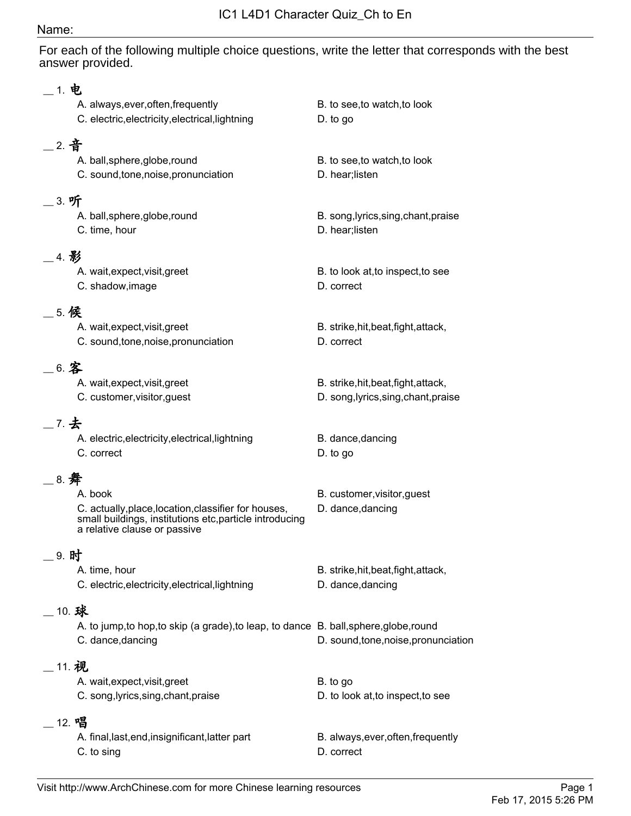### Name:

For each of the following multiple choice questions, write the letter that corresponds with the best answer provided.

|            | 1. 电                                                                                                                                                       |                                                                              |
|------------|------------------------------------------------------------------------------------------------------------------------------------------------------------|------------------------------------------------------------------------------|
|            | A. always, ever, often, frequently<br>C. electric, electricity, electrical, lightning                                                                      | B. to see, to watch, to look<br>D. to go                                     |
| . 2. 音     | A. ball, sphere, globe, round<br>C. sound, tone, noise, pronunciation                                                                                      | B. to see, to watch, to look<br>D. hear; listen                              |
| _ 3. 听     | A. ball, sphere, globe, round<br>C. time, hour                                                                                                             | B. song, lyrics, sing, chant, praise<br>D. hear; listen                      |
| _4. 影      | A. wait, expect, visit, greet<br>C. shadow, image                                                                                                          | B. to look at, to inspect, to see<br>D. correct                              |
| 5. 候       | A. wait, expect, visit, greet<br>C. sound, tone, noise, pronunciation                                                                                      | B. strike, hit, beat, fight, attack,<br>D. correct                           |
|            | 6. 客<br>A. wait, expect, visit, greet<br>C. customer, visitor, guest                                                                                       | B. strike, hit, beat, fight, attack,<br>D. song, lyrics, sing, chant, praise |
| 7. 去       | A. electric, electricity, electrical, lightning<br>C. correct                                                                                              | B. dance, dancing<br>D. to go                                                |
| _ 8. 舞     | A. book<br>C. actually, place, location, classifier for houses,<br>small buildings, institutions etc, particle introducing<br>a relative clause or passive | B. customer, visitor, guest<br>D. dance, dancing                             |
|            | 9. 时<br>A. time, hour<br>C. electric, electricity, electrical, lightning                                                                                   | B. strike, hit, beat, fight, attack,<br>D. dance, dancing                    |
| $\_$ 10. 球 | A. to jump, to hop, to skip (a grade), to leap, to dance B. ball, sphere, globe, round<br>C. dance, dancing                                                | D. sound, tone, noise, pronunciation                                         |
| __ 11. 视   | A. wait, expect, visit, greet<br>C. song, lyrics, sing, chant, praise                                                                                      | B. to go<br>D. to look at, to inspect, to see                                |
|            | _ 12. 唱<br>A. final, last, end, insignificant, latter part<br>C. to sing                                                                                   | B. always, ever, often, frequently<br>D. correct                             |
|            |                                                                                                                                                            |                                                                              |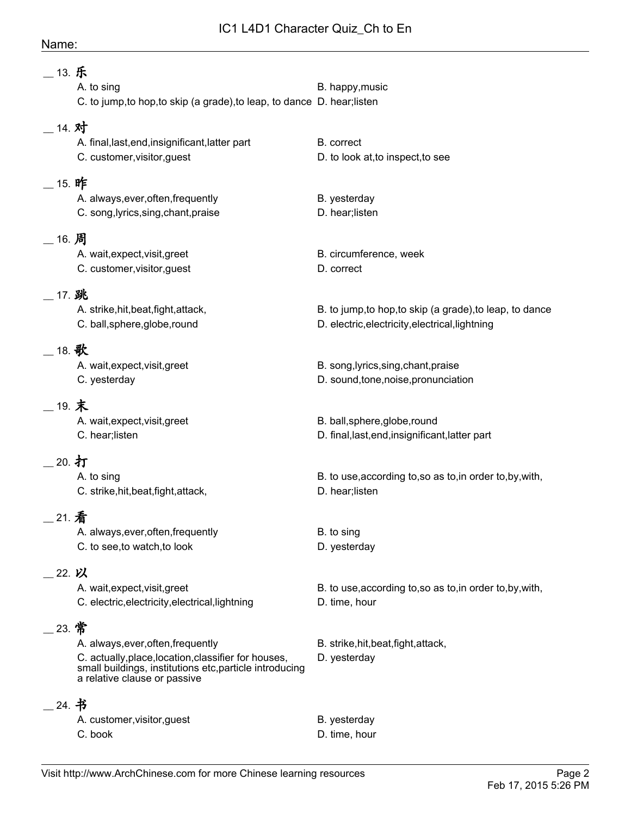## IC1 L4D1 Character Quiz\_Ch to En

#### Name:

| __ 13. 乐  | A. to sing<br>C. to jump, to hop, to skip (a grade), to leap, to dance D. hear; listen                                                                                                | B. happy, music                                                                                             |
|-----------|---------------------------------------------------------------------------------------------------------------------------------------------------------------------------------------|-------------------------------------------------------------------------------------------------------------|
| $-$ 14. 对 | A. final, last, end, insignificant, latter part                                                                                                                                       | B. correct                                                                                                  |
|           | C. customer, visitor, guest                                                                                                                                                           | D. to look at, to inspect, to see                                                                           |
| _ 15. 昨   | A. always, ever, often, frequently<br>C. song, lyrics, sing, chant, praise                                                                                                            | B. yesterday<br>D. hear; listen                                                                             |
| _ 16. 周   | A. wait, expect, visit, greet<br>C. customer, visitor, guest                                                                                                                          | B. circumference, week<br>D. correct                                                                        |
| _ 17. 跳   | A. strike, hit, beat, fight, attack,<br>C. ball, sphere, globe, round                                                                                                                 | B. to jump, to hop, to skip (a grade), to leap, to dance<br>D. electric, electricity, electrical, lightning |
| 18. 歌     | A. wait, expect, visit, greet<br>C. yesterday                                                                                                                                         | B. song, lyrics, sing, chant, praise<br>D. sound, tone, noise, pronunciation                                |
| __ 19. 末  | A. wait, expect, visit, greet<br>C. hear;listen                                                                                                                                       | B. ball, sphere, globe, round<br>D. final, last, end, insignificant, latter part                            |
| _20. 打    | A. to sing<br>C. strike, hit, beat, fight, attack,                                                                                                                                    | B. to use, according to, so as to, in order to, by, with,<br>D. hear; listen                                |
| 21. 看     | A. always, ever, often, frequently<br>C. to see, to watch, to look                                                                                                                    | B. to sing<br>D. yesterday                                                                                  |
| 22. 以     | A. wait, expect, visit, greet<br>C. electric, electricity, electrical, lightning                                                                                                      | B. to use, according to, so as to, in order to, by, with,<br>D. time, hour                                  |
| 23. 常     | A. always, ever, often, frequently<br>C. actually, place, location, classifier for houses,<br>small buildings, institutions etc, particle introducing<br>a relative clause or passive | B. strike, hit, beat, fight, attack,<br>D. yesterday                                                        |
| 24. 书     | A. customer, visitor, guest<br>C. book                                                                                                                                                | B. yesterday<br>D. time, hour                                                                               |